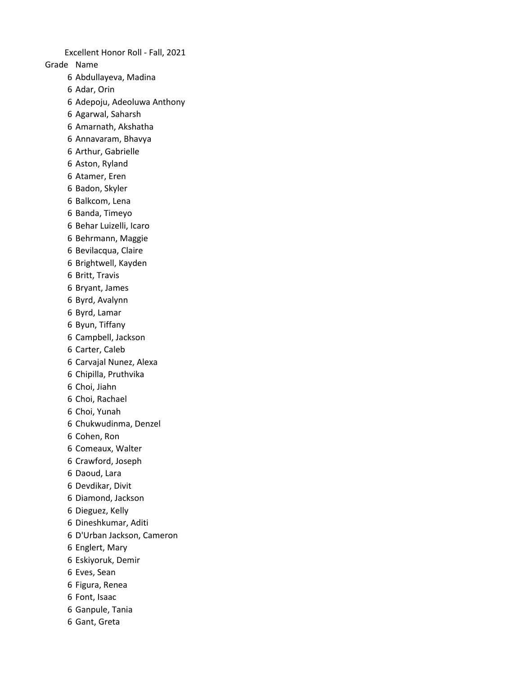Grade Name Abdullayeva, Madina Adar, Orin Adepoju, Adeoluwa Anthony Agarwal, Saharsh Amarnath, Akshatha Annavaram, Bhavya Arthur, Gabrielle Aston, Ryland Atamer, Eren Badon, Skyler Balkcom, Lena Banda, Timeyo Behar Luizelli, Icaro Behrmann, Maggie Bevilacqua, Claire Brightwell, Kayden Britt, Travis Bryant, James Byrd, Avalynn Byrd, Lamar Byun, Tiffany Campbell, Jackson Carter, Caleb Carvajal Nunez, Alexa Chipilla, Pruthvika Choi, Jiahn Choi, Rachael Choi, Yunah Chukwudinma, Denzel Cohen, Ron Comeaux, Walter Crawford, Joseph Daoud, Lara Devdikar, Divit Diamond, Jackson Dieguez, Kelly Dineshkumar, Aditi D'Urban Jackson, Cameron Englert, Mary Eskiyoruk, Demir Eves, Sean Figura, Renea Font, Isaac Ganpule, Tania Gant, Greta Excellent Honor Roll - Fall, 2021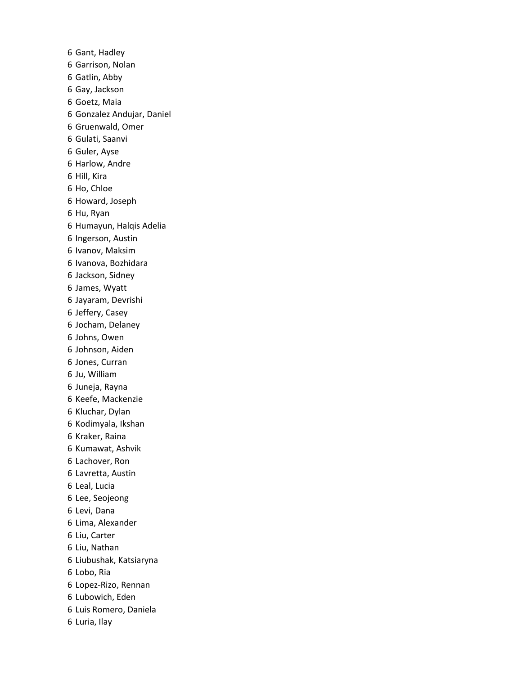Gant, Hadley Garrison, Nolan Gatlin, Abby Gay, Jackson Goetz, Maia Gonzalez Andujar, Daniel Gruenwald, Omer Gulati, Saanvi Guler, Ayse Harlow, Andre Hill, Kira Ho, Chloe Howard, Joseph Hu, Ryan Humayun, Halqis Adelia Ingerson, Austin Ivanov, Maksim Ivanova, Bozhidara Jackson, Sidney James, Wyatt Jayaram, Devrishi Jeffery, Casey Jocham, Delaney Johns, Owen Johnson, Aiden Jones, Curran Ju, William Juneja, Rayna Keefe, Mackenzie Kluchar, Dylan Kodimyala, Ikshan Kraker, Raina Kumawat, Ashvik Lachover, Ron Lavretta, Austin Leal, Lucia Lee, Seojeong Levi, Dana Lima, Alexander Liu, Carter Liu, Nathan Liubushak, Katsiaryna Lobo, Ria Lopez-Rizo, Rennan Lubowich, Eden Luis Romero, Daniela Luria, Ilay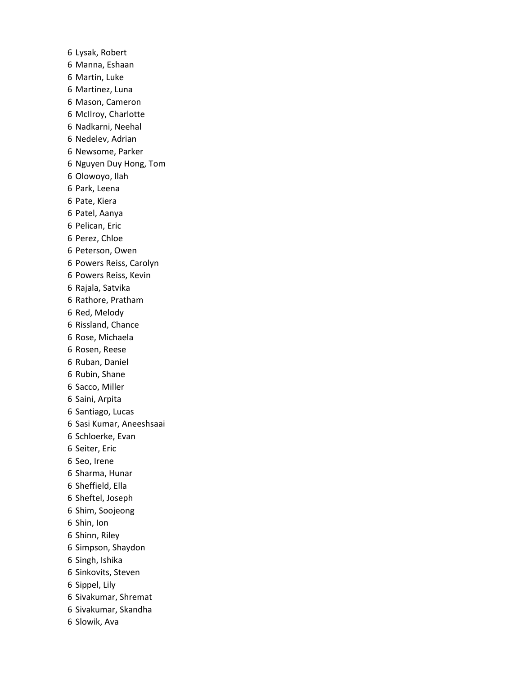Lysak, Robert Manna, Eshaan Martin, Luke Martinez, Luna Mason, Cameron McIlroy, Charlotte Nadkarni, Neehal Nedelev, Adrian Newsome, Parker Nguyen Duy Hong, Tom Olowoyo, Ilah Park, Leena Pate, Kiera Patel, Aanya Pelican, Eric Perez, Chloe Peterson, Owen Powers Reiss, Carolyn Powers Reiss, Kevin Rajala, Satvika Rathore, Pratham Red, Melody Rissland, Chance Rose, Michaela Rosen, Reese Ruban, Daniel Rubin, Shane Sacco, Miller Saini, Arpita Santiago, Lucas Sasi Kumar, Aneeshsaai Schloerke, Evan Seiter, Eric Seo, Irene Sharma, Hunar Sheffield, Ella Sheftel, Joseph Shim, Soojeong Shin, Ion Shinn, Riley Simpson, Shaydon Singh, Ishika Sinkovits, Steven Sippel, Lily Sivakumar, Shremat Sivakumar, Skandha Slowik, Ava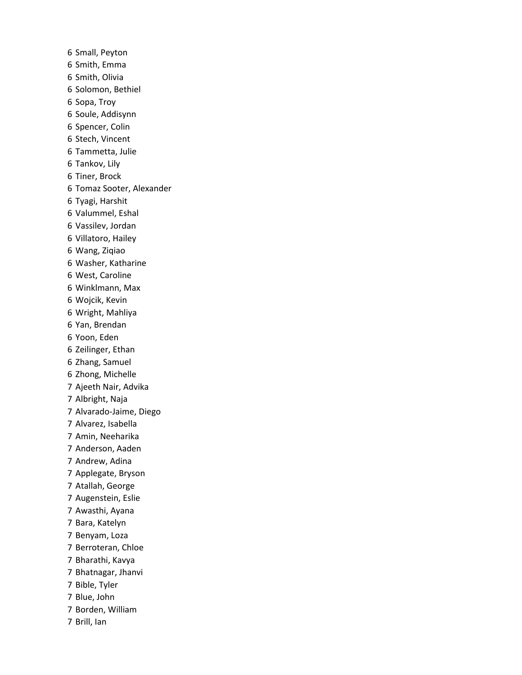Small, Peyton Smith, Emma Smith, Olivia Solomon, Bethiel Sopa, Troy Soule, Addisynn Spencer, Colin Stech, Vincent Tammetta, Julie Tankov, Lily Tiner, Brock Tomaz Sooter, Alexander Tyagi, Harshit Valummel, Eshal Vassilev, Jordan Villatoro, Hailey Wang, Ziqiao Washer, Katharine West, Caroline Winklmann, Max Wojcik, Kevin Wright, Mahliya Yan, Brendan Yoon, Eden Zeilinger, Ethan Zhang, Samuel Zhong, Michelle Ajeeth Nair, Advika Albright, Naja Alvarado-Jaime, Diego Alvarez, Isabella Amin, Neeharika Anderson, Aaden Andrew, Adina Applegate, Bryson Atallah, George Augenstein, Eslie Awasthi, Ayana Bara, Katelyn Benyam, Loza Berroteran, Chloe Bharathi, Kavya Bhatnagar, Jhanvi Bible, Tyler Blue, John Borden, William Brill, Ian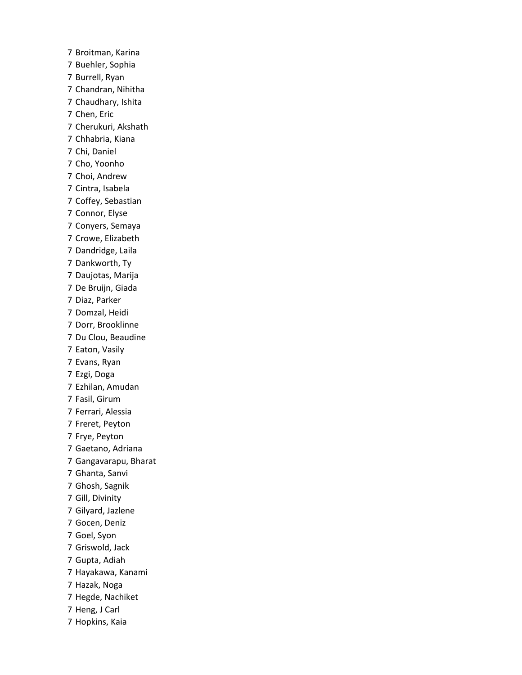Broitman, Karina Buehler, Sophia Burrell, Ryan Chandran, Nihitha Chaudhary, Ishita Chen, Eric Cherukuri, Akshath Chhabria, Kiana Chi, Daniel Cho, Yoonho Choi, Andrew Cintra, Isabela Coffey, Sebastian Connor, Elyse Conyers, Semaya Crowe, Elizabeth Dandridge, Laila Dankworth, Ty Daujotas, Marija De Bruijn, Giada Diaz, Parker Domzal, Heidi Dorr, Brooklinne Du Clou, Beaudine Eaton, Vasily Evans, Ryan Ezgi, Doga Ezhilan, Amudan Fasil, Girum Ferrari, Alessia Freret, Peyton Frye, Peyton Gaetano, Adriana Gangavarapu, Bharat Ghanta, Sanvi Ghosh, Sagnik Gill, Divinity Gilyard, Jazlene Gocen, Deniz Goel, Syon Griswold, Jack Gupta, Adiah Hayakawa, Kanami Hazak, Noga Hegde, Nachiket Heng, J Carl Hopkins, Kaia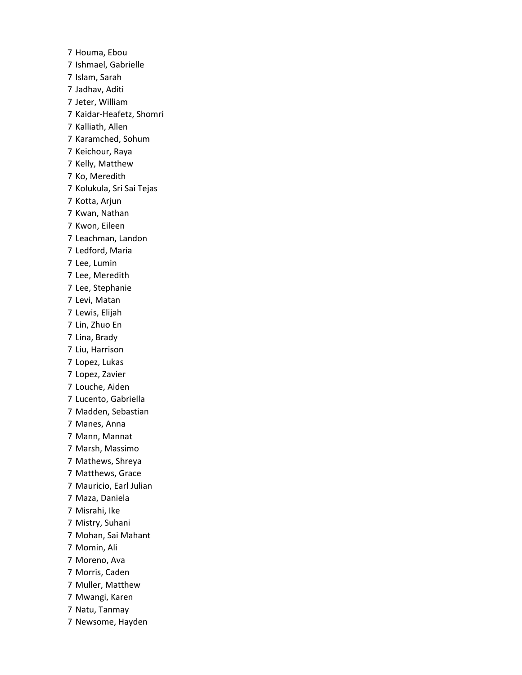Houma, Ebou Ishmael, Gabrielle Islam, Sarah Jadhav, Aditi Jeter, William Kaidar-Heafetz, Shomri Kalliath, Allen Karamched, Sohum Keichour, Raya Kelly, Matthew Ko, Meredith Kolukula, Sri Sai Tejas Kotta, Arjun Kwan, Nathan Kwon, Eileen Leachman, Landon Ledford, Maria Lee, Lumin Lee, Meredith Lee, Stephanie Levi, Matan Lewis, Elijah Lin, Zhuo En Lina, Brady Liu, Harrison Lopez, Lukas Lopez, Zavier Louche, Aiden Lucento, Gabriella Madden, Sebastian Manes, Anna Mann, Mannat Marsh, Massimo Mathews, Shreya Matthews, Grace Mauricio, Earl Julian Maza, Daniela Misrahi, Ike Mistry, Suhani Mohan, Sai Mahant Momin, Ali Moreno, Ava Morris, Caden Muller, Matthew Mwangi, Karen Natu, Tanmay Newsome, Hayden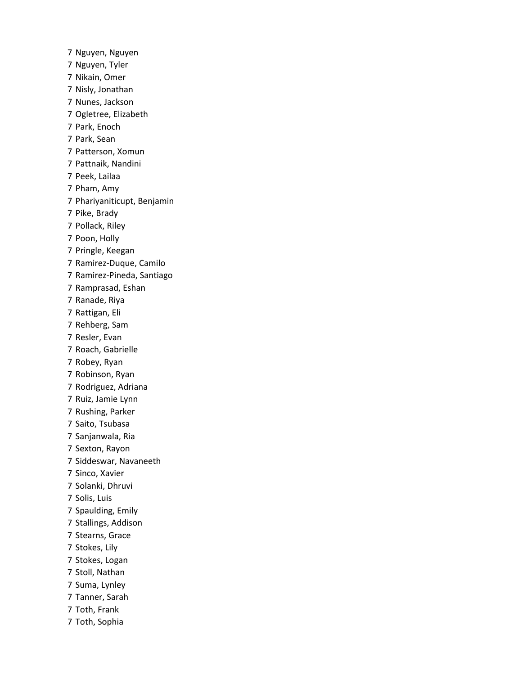Nguyen, Nguyen Nguyen, Tyler Nikain, Omer Nisly, Jonathan Nunes, Jackson Ogletree, Elizabeth Park, Enoch Park, Sean Patterson, Xomun Pattnaik, Nandini Peek, Lailaa Pham, Amy Phariyaniticupt, Benjamin Pike, Brady Pollack, Riley Poon, Holly Pringle, Keegan Ramirez-Duque, Camilo Ramirez-Pineda, Santiago Ramprasad, Eshan Ranade, Riya Rattigan, Eli Rehberg, Sam Resler, Evan Roach, Gabrielle Robey, Ryan Robinson, Ryan Rodriguez, Adriana Ruiz, Jamie Lynn Rushing, Parker Saito, Tsubasa Sanjanwala, Ria Sexton, Rayon Siddeswar, Navaneeth Sinco, Xavier Solanki, Dhruvi Solis, Luis Spaulding, Emily Stallings, Addison Stearns, Grace Stokes, Lily Stokes, Logan Stoll, Nathan Suma, Lynley Tanner, Sarah Toth, Frank Toth, Sophia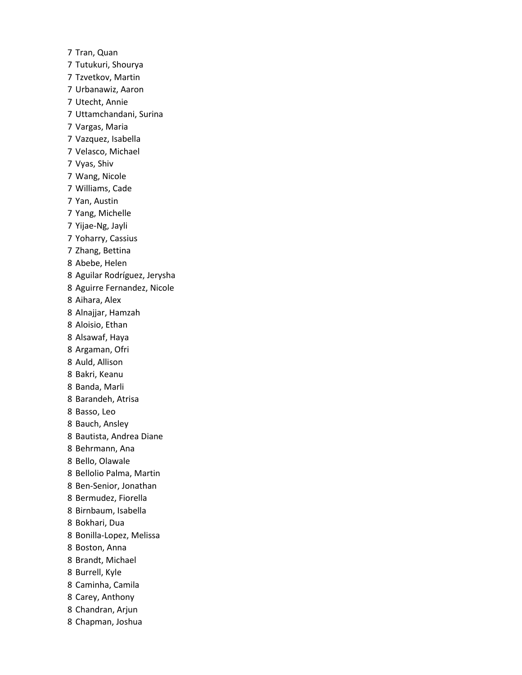Tran, Quan Tutukuri, Shourya Tzvetkov, Martin Urbanawiz, Aaron Utecht, Annie Uttamchandani, Surina Vargas, Maria Vazquez, Isabella Velasco, Michael Vyas, Shiv Wang, Nicole Williams, Cade Yan, Austin Yang, Michelle Yijae-Ng, Jayli Yoharry, Cassius Zhang, Bettina Abebe, Helen Aguilar Rodríguez, Jerysha Aguirre Fernandez, Nicole Aihara, Alex Alnajjar, Hamzah Aloisio, Ethan Alsawaf, Haya Argaman, Ofri Auld, Allison Bakri, Keanu Banda, Marli Barandeh, Atrisa Basso, Leo Bauch, Ansley Bautista, Andrea Diane Behrmann, Ana Bello, Olawale Bellolio Palma, Martin Ben-Senior, Jonathan Bermudez, Fiorella Birnbaum, Isabella Bokhari, Dua Bonilla-Lopez, Melissa Boston, Anna Brandt, Michael Burrell, Kyle Caminha, Camila Carey, Anthony Chandran, Arjun Chapman, Joshua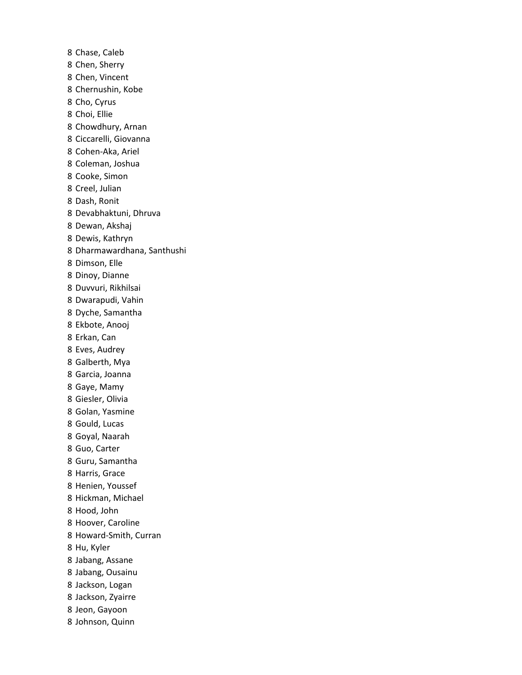Chase, Caleb Chen, Sherry Chen, Vincent Chernushin, Kobe Cho, Cyrus Choi, Ellie Chowdhury, Arnan Ciccarelli, Giovanna Cohen-Aka, Ariel Coleman, Joshua Cooke, Simon Creel, Julian Dash, Ronit Devabhaktuni, Dhruva Dewan, Akshaj Dewis, Kathryn Dharmawardhana, Santhushi Dimson, Elle Dinoy, Dianne Duvvuri, Rikhilsai Dwarapudi, Vahin Dyche, Samantha Ekbote, Anooj Erkan, Can Eves, Audrey Galberth, Mya Garcia, Joanna Gaye, Mamy Giesler, Olivia Golan, Yasmine Gould, Lucas Goyal, Naarah Guo, Carter Guru, Samantha Harris, Grace Henien, Youssef Hickman, Michael Hood, John Hoover, Caroline Howard-Smith, Curran Hu, Kyler Jabang, Assane Jabang, Ousainu Jackson, Logan Jackson, Zyairre Jeon, Gayoon Johnson, Quinn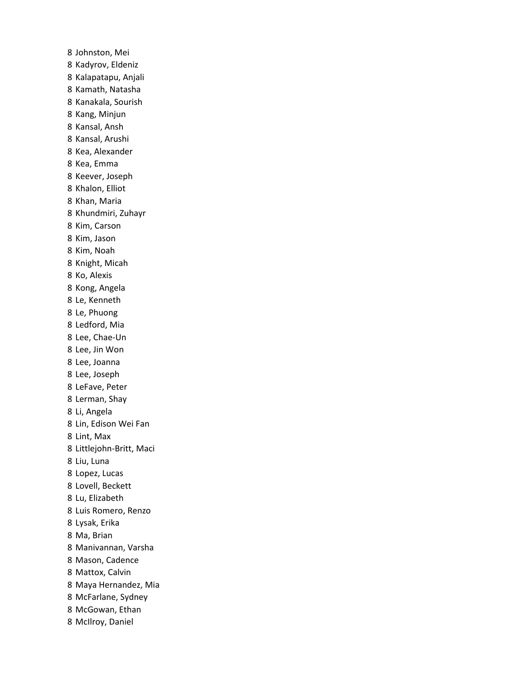Johnston, Mei Kadyrov, Eldeniz Kalapatapu, Anjali Kamath, Natasha Kanakala, Sourish Kang, Minjun Kansal, Ansh Kansal, Arushi Kea, Alexander Kea, Emma Keever, Joseph Khalon, Elliot Khan, Maria Khundmiri, Zuhayr Kim, Carson Kim, Jason Kim, Noah Knight, Micah Ko, Alexis Kong, Angela Le, Kenneth Le, Phuong Ledford, Mia Lee, Chae-Un Lee, Jin Won Lee, Joanna Lee, Joseph LeFave, Peter Lerman, Shay Li, Angela Lin, Edison Wei Fan Lint, Max Littlejohn-Britt, Maci Liu, Luna Lopez, Lucas Lovell, Beckett Lu, Elizabeth Luis Romero, Renzo Lysak, Erika Ma, Brian Manivannan, Varsha Mason, Cadence Mattox, Calvin Maya Hernandez, Mia McFarlane, Sydney McGowan, Ethan McIlroy, Daniel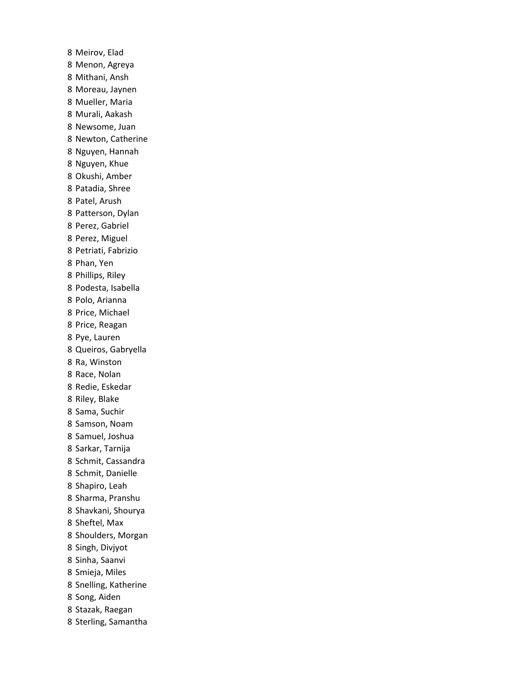Meirov, Elad Menon, Agreya Mithani, Ansh Moreau, Jaynen Mueller, Maria Murali, Aakash Newsome, Juan Newton, Catherine Nguyen, Hannah Nguyen, Khue Okushi, Amber Patadia, Shree Patel, Arush Patterson, Dylan Perez, Gabriel Perez, Miguel Petriati, Fabrizio Phan, Yen Phillips, Riley Podesta, Isabella Polo, Arianna Price, Michael Price, Reagan Pye, Lauren Queiros, Gabryella Ra, Winston Race, Nolan Redie, Eskedar Riley, Blake Sama, Suchir Samson, Noam Samuel, Joshua Sarkar, Tarnija Schmit, Cassandra Schmit, Danielle Shapiro, Leah Sharma, Pranshu Shavkani, Shourya Sheftel, Max Shoulders, Morgan Singh, Divjyot Sinha, Saanvi Smieja, Miles Snelling, Katherine Song, Aiden Stazak, Raegan Sterling, Samantha